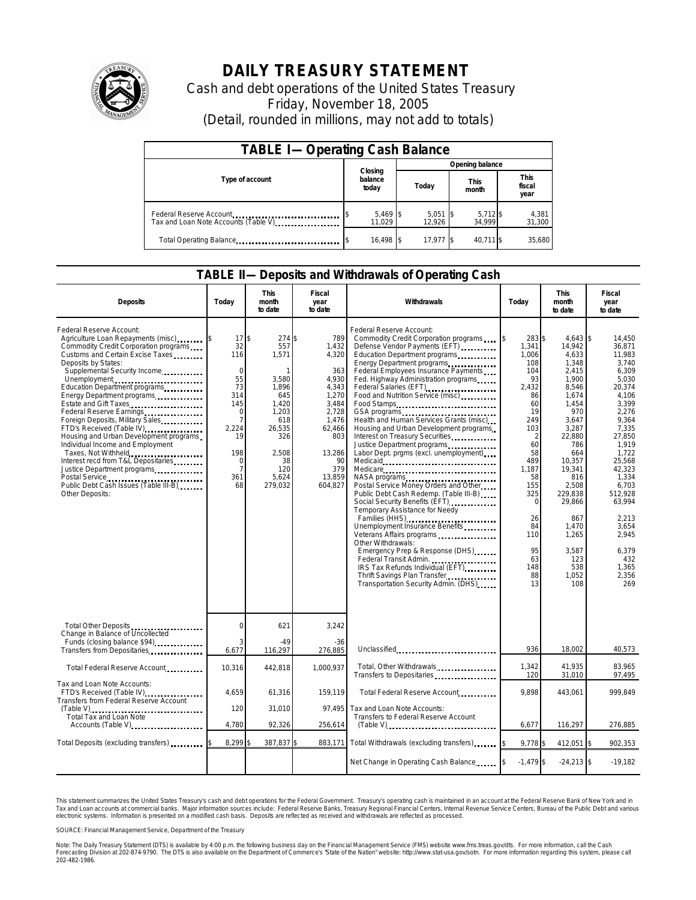

## **DAILY TREASURY STATEMENT**

Cash and debt operations of the United States Treasury Friday, November 18, 2005 (Detail, rounded in millions, may not add to totals)

| <b>TABLE I-Operating Cash Balance</b>                           |                             |                      |                      |                               |  |  |  |  |
|-----------------------------------------------------------------|-----------------------------|----------------------|----------------------|-------------------------------|--|--|--|--|
|                                                                 |                             | Opening balance      |                      |                               |  |  |  |  |
| Type of account                                                 | Closing<br>balance<br>today | Today                | <b>This</b><br>month | <b>This</b><br>fiscal<br>year |  |  |  |  |
| Federal Reserve Account<br>Tax and Loan Note Accounts (Table V) | $5,469$ \$<br>11.029        | $5,051$ \$<br>12.926 | 5,712 \$<br>34.999   | 4,381<br>31,300               |  |  |  |  |
| Total Operating Balance                                         | 16.498 \$                   | 17.977 \$            | 40.711 \$            | 35.680                        |  |  |  |  |

## **TABLE II—Deposits and Withdrawals of Operating Cash**

| <b>Deposits</b>                                                                                                                                                                                                                                                                                                                                                                                                                                                                                                                                                                                                                                     | Todav                                                                                                               | <b>This</b><br>month<br>to date                                                                                                           | Fiscal<br>year<br>to date                                                                                                                       | Withdrawals                                                                                                                                                                                                                                                                                                                                                                                                                                                                                                                                                                                                                                                                                                                                                                                                                                                                                                                                                                                                            | Today                                                                                                                                                                                                                  | <b>This</b><br>month<br>to date                                                                                                                                                                                                                               | Fiscal<br>year<br>to date                                                                                                                                                                                                                                               |
|-----------------------------------------------------------------------------------------------------------------------------------------------------------------------------------------------------------------------------------------------------------------------------------------------------------------------------------------------------------------------------------------------------------------------------------------------------------------------------------------------------------------------------------------------------------------------------------------------------------------------------------------------------|---------------------------------------------------------------------------------------------------------------------|-------------------------------------------------------------------------------------------------------------------------------------------|-------------------------------------------------------------------------------------------------------------------------------------------------|------------------------------------------------------------------------------------------------------------------------------------------------------------------------------------------------------------------------------------------------------------------------------------------------------------------------------------------------------------------------------------------------------------------------------------------------------------------------------------------------------------------------------------------------------------------------------------------------------------------------------------------------------------------------------------------------------------------------------------------------------------------------------------------------------------------------------------------------------------------------------------------------------------------------------------------------------------------------------------------------------------------------|------------------------------------------------------------------------------------------------------------------------------------------------------------------------------------------------------------------------|---------------------------------------------------------------------------------------------------------------------------------------------------------------------------------------------------------------------------------------------------------------|-------------------------------------------------------------------------------------------------------------------------------------------------------------------------------------------------------------------------------------------------------------------------|
| Federal Reserve Account:<br>Agriculture Loan Repayments (misc) [15]<br>Commodity Credit Corporation programs<br>Customs and Certain Excise Taxes<br>Deposits by States:<br>Supplemental Security Income<br>Unemployment<br>Education Department programs<br>Energy Department programs<br>Estate and Gift Taxes<br>Federal Reserve Earnings<br>Foreign Deposits, Military Sales<br>FTD's Received (Table IV)<br>Housing and Urban Development programs<br>Individual Income and Employment<br>Taxes, Not Withheld<br>Interest recd from T&L Depositaries<br>Justice Department programs<br>Public Debt Cash Issues (Table III-B)<br>Other Deposits: | 17<br>32<br>116<br>$\Omega$<br>55<br>73<br>314<br>145<br>$\Omega$<br>7<br>2,224<br>19<br>198<br>0<br>7<br>361<br>68 | 274 \$<br>\$<br>557<br>1,571<br>3,580<br>1,896<br>645<br>1.420<br>1,203<br>618<br>26,535<br>326<br>2.508<br>38<br>120<br>5.624<br>279.032 | 789<br>1.432<br>4,320<br>363<br>4,930<br>4.343<br>1,270<br>3.484<br>2,728<br>1,476<br>62,466<br>803<br>13,286<br>90<br>379<br>13,859<br>604.827 | Federal Reserve Account:<br>Commodity Credit Corporation programs<br>Defense Vendor Payments (EFT)<br>Education Department programs<br>Energy Department programs<br>Federal Employees Insurance Payments<br>Fed. Highway Administration programs<br>Federal Salaries (EFT)<br>Food and Nutrition Service (misc)<br>Food Stamps,<br>GSA programs<br>Health and Human Services Grants (misc)<br>Housing and Urban Development programs<br>Interest on Treasury Securities<br>Justice Department programs<br>Labor Dept. prgms (excl. unemployment)<br>Medicare<br>NASA programs<br>Postal Service Money Orders and Other<br>Public Debt Cash Redemp. (Table III-B)<br>Social Security Benefits (EFT)<br>Temporary Assistance for Needy<br>Families (HHS)<br>Unemployment Insurance Benefits<br>Veterans Affairs programs<br>Other Withdrawals:<br>Emergency Prep & Response (DHS)<br>Federal Transit Admin.<br>IRS Tax Refunds Individual (EFT)<br>Thrift Savings Plan Transfer<br>Transportation Security Admin. (DHS) | $\sqrt{3}$<br>283 \$<br>1.341<br>1.006<br>108<br>104<br>93<br>2.432<br>86<br>60<br>19<br>249<br>103<br>2<br>60<br>58<br>489<br>1.187<br>58<br>155<br>325<br>$\Omega$<br>26<br>84<br>110<br>95<br>63<br>148<br>88<br>13 | $4.643$ \$<br>14.942<br>4.633<br>1,348<br>2,415<br>1,900<br>8.546<br>1,674<br>1,454<br>970<br>3.647<br>3,287<br>22,880<br>786<br>664<br>10,357<br>19,341<br>816<br>2.508<br>229,838<br>29,866<br>867<br>1,470<br>1,265<br>3,587<br>123<br>538<br>1,052<br>108 | 14.450<br>36.871<br>11.983<br>3.740<br>6.309<br>5.030<br>20.374<br>4,106<br>3,399<br>2.276<br>9.364<br>7,335<br>27.850<br>1.919<br>1.722<br>25.568<br>42.323<br>1,334<br>6.703<br>512.928<br>63.994<br>2,213<br>3.654<br>2.945<br>6,379<br>432<br>1.365<br>2,356<br>269 |
| Total Other Deposits<br>Change in Balance of Uncollected<br>Funds (closing balance \$94)                                                                                                                                                                                                                                                                                                                                                                                                                                                                                                                                                            | $\overline{0}$                                                                                                      | 621<br>$-49$                                                                                                                              | 3,242<br>-36                                                                                                                                    |                                                                                                                                                                                                                                                                                                                                                                                                                                                                                                                                                                                                                                                                                                                                                                                                                                                                                                                                                                                                                        |                                                                                                                                                                                                                        |                                                                                                                                                                                                                                                               |                                                                                                                                                                                                                                                                         |
| Transfers from Depositaries<br>                                                                                                                                                                                                                                                                                                                                                                                                                                                                                                                                                                                                                     | 6,677                                                                                                               | 116,297                                                                                                                                   | 276,885                                                                                                                                         | Unclassified                                                                                                                                                                                                                                                                                                                                                                                                                                                                                                                                                                                                                                                                                                                                                                                                                                                                                                                                                                                                           | 936                                                                                                                                                                                                                    | 18,002                                                                                                                                                                                                                                                        | 40,573                                                                                                                                                                                                                                                                  |
| Total Federal Reserve Account                                                                                                                                                                                                                                                                                                                                                                                                                                                                                                                                                                                                                       | 10,316                                                                                                              | 442,818                                                                                                                                   | 1,000,937                                                                                                                                       | Total, Other Withdrawals<br>Transfers to Depositaries                                                                                                                                                                                                                                                                                                                                                                                                                                                                                                                                                                                                                                                                                                                                                                                                                                                                                                                                                                  | 1,342<br>120                                                                                                                                                                                                           | 41,935<br>31,010                                                                                                                                                                                                                                              | 83,965<br>97,495                                                                                                                                                                                                                                                        |
| Tax and Loan Note Accounts:<br>FTD's Received (Table IV)<br>Transfers from Federal Reserve Account                                                                                                                                                                                                                                                                                                                                                                                                                                                                                                                                                  | 4,659                                                                                                               | 61,316                                                                                                                                    | 159,119                                                                                                                                         | Total Federal Reserve Account                                                                                                                                                                                                                                                                                                                                                                                                                                                                                                                                                                                                                                                                                                                                                                                                                                                                                                                                                                                          | 9.898                                                                                                                                                                                                                  | 443,061                                                                                                                                                                                                                                                       | 999.849                                                                                                                                                                                                                                                                 |
| Total Tax and Loan Note                                                                                                                                                                                                                                                                                                                                                                                                                                                                                                                                                                                                                             | 120                                                                                                                 | 31,010                                                                                                                                    | 97.495                                                                                                                                          | Tax and Loan Note Accounts:<br>Transfers to Federal Reserve Account                                                                                                                                                                                                                                                                                                                                                                                                                                                                                                                                                                                                                                                                                                                                                                                                                                                                                                                                                    |                                                                                                                                                                                                                        |                                                                                                                                                                                                                                                               |                                                                                                                                                                                                                                                                         |
| Accounts (Table V)                                                                                                                                                                                                                                                                                                                                                                                                                                                                                                                                                                                                                                  | 4,780                                                                                                               | 92,326                                                                                                                                    | 256,614                                                                                                                                         | $(Table V)$                                                                                                                                                                                                                                                                                                                                                                                                                                                                                                                                                                                                                                                                                                                                                                                                                                                                                                                                                                                                            | 6,677                                                                                                                                                                                                                  | 116,297                                                                                                                                                                                                                                                       | 276,885                                                                                                                                                                                                                                                                 |
| Total Deposits (excluding transfers)                                                                                                                                                                                                                                                                                                                                                                                                                                                                                                                                                                                                                | 8,299                                                                                                               | 387,837                                                                                                                                   | 883,171                                                                                                                                         | Total Withdrawals (excluding transfers)                                                                                                                                                                                                                                                                                                                                                                                                                                                                                                                                                                                                                                                                                                                                                                                                                                                                                                                                                                                | $9.778$ \$                                                                                                                                                                                                             | 412.051 \$                                                                                                                                                                                                                                                    | 902,353                                                                                                                                                                                                                                                                 |
|                                                                                                                                                                                                                                                                                                                                                                                                                                                                                                                                                                                                                                                     |                                                                                                                     |                                                                                                                                           |                                                                                                                                                 | Net Change in Operating Cash Balance                                                                                                                                                                                                                                                                                                                                                                                                                                                                                                                                                                                                                                                                                                                                                                                                                                                                                                                                                                                   | $-1,479$ \$                                                                                                                                                                                                            | $-24,213$ \$                                                                                                                                                                                                                                                  | $-19,182$                                                                                                                                                                                                                                                               |

This statement summarizes the United States Treasury's cash and debt operations for the Federal Government. Treasury's operating cash is maintained in an account at the Federal Reserve Bank of New York and in<br>Tax and Loan narizes the United States Treasury's cash and debt operations for the Federal Government. Treasury's operating cash is maintained in an account at the Federal Reserve Bank of New York and in<br>ints at commercial banks. Major

SOURCE: Financial Management Service, Department of the Treasury

Note: The Daily Treasury Statement (DTS) is available by 4:00 p.m. the following business day on the Financial Management Service (FMS) website www.fms.treas.gov/dts. For more information, call the Cash<br>Forecasting Divisio 202-482-1986.